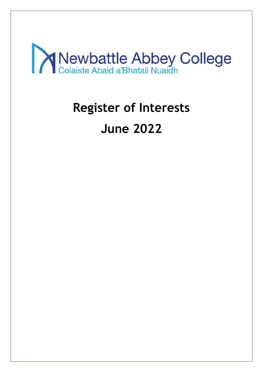

## **Register of Interests**

# **June 2022**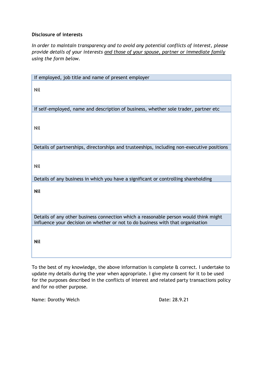*In order to maintain transparency and to avoid any potential conflicts of interest, please provide details of your interests and those of your spouse, partner or immediate family using the form below.*

| If employed, job title and name of present employer                                                                                                                     |
|-------------------------------------------------------------------------------------------------------------------------------------------------------------------------|
|                                                                                                                                                                         |
| Nil                                                                                                                                                                     |
|                                                                                                                                                                         |
|                                                                                                                                                                         |
| If self-employed, name and description of business, whether sole trader, partner etc                                                                                    |
|                                                                                                                                                                         |
|                                                                                                                                                                         |
| Nil                                                                                                                                                                     |
|                                                                                                                                                                         |
| Details of partnerships, directorships and trusteeships, including non-executive positions                                                                              |
|                                                                                                                                                                         |
|                                                                                                                                                                         |
| Nil                                                                                                                                                                     |
|                                                                                                                                                                         |
| Details of any business in which you have a significant or controlling shareholding                                                                                     |
|                                                                                                                                                                         |
| <b>Nil</b>                                                                                                                                                              |
|                                                                                                                                                                         |
|                                                                                                                                                                         |
|                                                                                                                                                                         |
| Details of any other business connection which a reasonable person would think might<br>influence your decision on whether or not to do business with that organisation |
|                                                                                                                                                                         |
|                                                                                                                                                                         |
| <b>Nil</b>                                                                                                                                                              |
|                                                                                                                                                                         |
|                                                                                                                                                                         |

To the best of my knowledge, the above information is complete & correct. I undertake to update my details during the year when appropriate. I give my consent for it to be used for the purposes described in the conflicts of interest and related party transactions policy and for no other purpose.

Name: Dorothy Welch Date: 28.9.21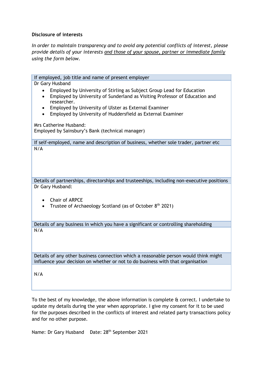*In order to maintain transparency and to avoid any potential conflicts of interest, please provide details of your interests and those of your spouse, partner or immediate family using the form below.*

If employed, job title and name of present employer Dr Gary Husband • Employed by University of Stirling as Subject Group Lead for Education • Employed by University of Sunderland as Visiting Professor of Education and researcher. • Employed by University of Ulster as External Examiner • Employed by University of Huddersfield as External Examiner Mrs Catherine Husband: Employed by Sainsbury's Bank (technical manager) If self-employed, name and description of business, whether sole trader, partner etc N/A Details of partnerships, directorships and trusteeships, including non-executive positions Dr Gary Husband: • Chair of ARPCE Trustee of Archaeology Scotland (as of October 8<sup>th</sup> 2021) Details of any business in which you have a significant or controlling shareholding  $N/A$ Details of any other business connection which a reasonable person would think might influence your decision on whether or not to do business with that organisation N/A

To the best of my knowledge, the above information is complete & correct. I undertake to update my details during the year when appropriate. I give my consent for it to be used for the purposes described in the conflicts of interest and related party transactions policy and for no other purpose.

Name: Dr Gary Husband Date: 28<sup>th</sup> September 2021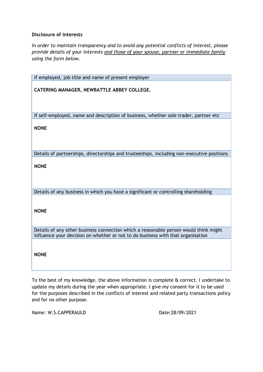*In order to maintain transparency and to avoid any potential conflicts of interest, please provide details of your interests and those of your spouse, partner or immediate family using the form below.*

| If employed, job title and name of present employer                                                                                                                     |
|-------------------------------------------------------------------------------------------------------------------------------------------------------------------------|
| CATERING MANAGER, NEWBATTLE ABBEY COLLEGE.                                                                                                                              |
| If self-employed, name and description of business, whether sole trader, partner etc                                                                                    |
| <b>NONE</b>                                                                                                                                                             |
| Details of partnerships, directorships and trusteeships, including non-executive positions                                                                              |
| <b>NONE</b>                                                                                                                                                             |
| Details of any business in which you have a significant or controlling shareholding                                                                                     |
| <b>NONE</b>                                                                                                                                                             |
| Details of any other business connection which a reasonable person would think might<br>influence your decision on whether or not to do business with that organisation |
| <b>NONE</b>                                                                                                                                                             |

To the best of my knowledge, the above information is complete & correct. I undertake to update my details during the year when appropriate. I give my consent for it to be used for the purposes described in the conflicts of interest and related party transactions policy and for no other purpose.

Name: W.S.CAPPFRAULD Date:28/09/2021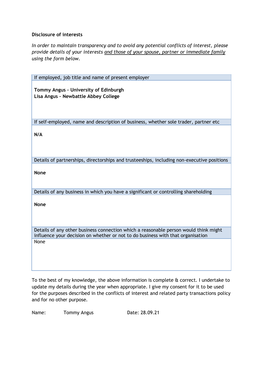*In order to maintain transparency and to avoid any potential conflicts of interest, please provide details of your interests and those of your spouse, partner or immediate family using the form below.*

To the best of my knowledge, the above information is complete & correct. I undertake to update my details during the year when appropriate. I give my consent for it to be used for the purposes described in the conflicts of interest and related party transactions policy and for no other purpose.

Name: Tommy Angus Date: 28.09.21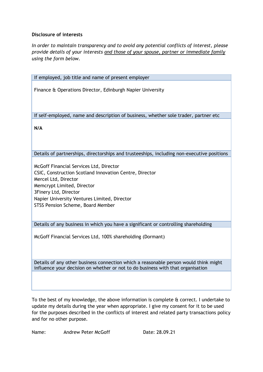*In order to maintain transparency and to avoid any potential conflicts of interest, please provide details of your interests and those of your spouse, partner or immediate family using the form below.*

If employed, job title and name of present employer Finance & Operations Director, Edinburgh Napier University If self-employed, name and description of business, whether sole trader, partner etc **N/A** Details of partnerships, directorships and trusteeships, including non-executive positions McGoff Financial Services Ltd, Director CSIC, Construction Scotland Innovation Centre, Director Mercel Ltd, Director Memcrypt Limited, Director 3Finery Ltd, Director Napier University Ventures Limited, Director STSS Pension Scheme, Board Member

Details of any business in which you have a significant or controlling shareholding

McGoff Financial Services Ltd, 100% shareholding (Dormant)

Details of any other business connection which a reasonable person would think might influence your decision on whether or not to do business with that organisation

To the best of my knowledge, the above information is complete & correct. I undertake to update my details during the year when appropriate. I give my consent for it to be used for the purposes described in the conflicts of interest and related party transactions policy and for no other purpose.

Name: Andrew Peter McGoff Date: 28.09.21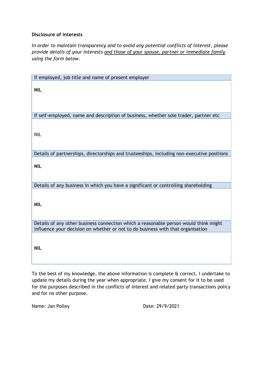*In order to maintain transparency and to avoid any potential conflicts of interest, please provide details of your interests and those of your spouse, partner or immediate family using the form below.*

| If employed, job title and name of present employer                                        |
|--------------------------------------------------------------------------------------------|
| <b>NIL</b>                                                                                 |
| If self-employed, name and description of business, whether sole trader, partner etc       |
| <b>NIL</b>                                                                                 |
| Details of partnerships, directorships and trusteeships, including non-executive positions |
| <b>NIL</b>                                                                                 |
| Details of any business in which you have a significant or controlling shareholding        |
| <b>NIL</b>                                                                                 |
| Details of any other business connection which a reasonable person would think might       |
| influence your decision on whether or not to do business with that organisation            |
| <b>NIL</b>                                                                                 |

To the best of my knowledge, the above information is complete & correct. I undertake to update my details during the year when appropriate. I give my consent for it to be used for the purposes described in the conflicts of interest and related party transactions policy and for no other purpose.

Name: Jan Polley Date: 29/9/2021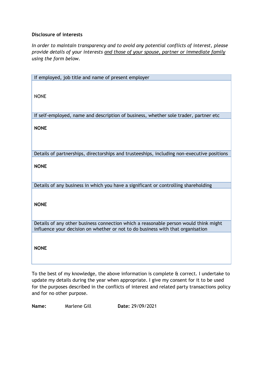*In order to maintain transparency and to avoid any potential conflicts of interest, please provide details of your interests and those of your spouse, partner or immediate family using the form below.*

| If employed, job title and name of present employer                                                                                                                     |
|-------------------------------------------------------------------------------------------------------------------------------------------------------------------------|
| <b>NONE</b>                                                                                                                                                             |
| If self-employed, name and description of business, whether sole trader, partner etc                                                                                    |
| <b>NONE</b>                                                                                                                                                             |
| Details of partnerships, directorships and trusteeships, including non-executive positions                                                                              |
| <b>NONE</b>                                                                                                                                                             |
| Details of any business in which you have a significant or controlling shareholding                                                                                     |
| <b>NONE</b>                                                                                                                                                             |
| Details of any other business connection which a reasonable person would think might<br>influence your decision on whether or not to do business with that organisation |
| <b>NONE</b>                                                                                                                                                             |

To the best of my knowledge, the above information is complete & correct. I undertake to update my details during the year when appropriate. I give my consent for it to be used for the purposes described in the conflicts of interest and related party transactions policy and for no other purpose.

**Name:** Marlene Gill **Date:** 29/09/2021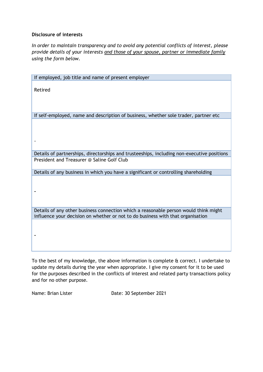*In order to maintain transparency and to avoid any potential conflicts of interest, please provide details of your interests and those of your spouse, partner or immediate family using the form below.*

| If employed, job title and name of present employer                                                                                                                     |
|-------------------------------------------------------------------------------------------------------------------------------------------------------------------------|
| Retired                                                                                                                                                                 |
| If self-employed, name and description of business, whether sole trader, partner etc                                                                                    |
|                                                                                                                                                                         |
| Details of partnerships, directorships and trusteeships, including non-executive positions                                                                              |
| President and Treasurer @ Saline Golf Club                                                                                                                              |
| Details of any business in which you have a significant or controlling shareholding                                                                                     |
|                                                                                                                                                                         |
| Details of any other business connection which a reasonable person would think might<br>influence your decision on whether or not to do business with that organisation |
|                                                                                                                                                                         |

To the best of my knowledge, the above information is complete & correct. I undertake to update my details during the year when appropriate. I give my consent for it to be used for the purposes described in the conflicts of interest and related party transactions policy and for no other purpose.

Name: Brian Lister Date: 30 September 2021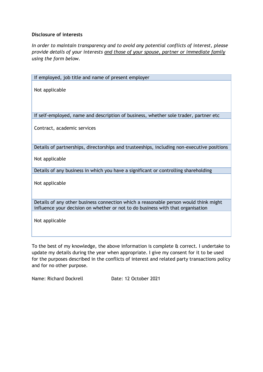*In order to maintain transparency and to avoid any potential conflicts of interest, please provide details of your interests and those of your spouse, partner or immediate family using the form below.*

| If employed, job title and name of present employer                                                                                                                     |
|-------------------------------------------------------------------------------------------------------------------------------------------------------------------------|
| Not applicable                                                                                                                                                          |
| If self-employed, name and description of business, whether sole trader, partner etc                                                                                    |
| Contract, academic services                                                                                                                                             |
| Details of partnerships, directorships and trusteeships, including non-executive positions                                                                              |
| Not applicable                                                                                                                                                          |
| Details of any business in which you have a significant or controlling shareholding                                                                                     |
| Not applicable                                                                                                                                                          |
| Details of any other business connection which a reasonable person would think might<br>influence your decision on whether or not to do business with that organisation |
| Not applicable                                                                                                                                                          |

To the best of my knowledge, the above information is complete & correct. I undertake to update my details during the year when appropriate. I give my consent for it to be used for the purposes described in the conflicts of interest and related party transactions policy and for no other purpose.

Name: Richard Dockrell Date: 12 October 2021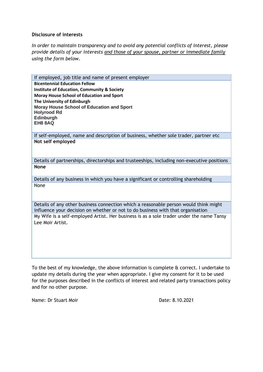*In order to maintain transparency and to avoid any potential conflicts of interest, please provide details of your interests and those of your spouse, partner or immediate family using the form below.*

If employed, job title and name of present employer **Bicentennial Education Fellow Institute of Education, Community & Society Moray House School of Education and Sport The University of Edinburgh Moray House School of Education and Sport Holyrood Rd Edinburgh EH8 8AQ**

If self-employed, name and description of business, whether sole trader, partner etc **Not self employed**

Details of partnerships, directorships and trusteeships, including non-executive positions **None**

Details of any business in which you have a significant or controlling shareholding None

Details of any other business connection which a reasonable person would think might influence your decision on whether or not to do business with that organisation My Wife is a self-employed Artist. Her business is as a sole trader under the name Tansy Lee Moir Artist.

To the best of my knowledge, the above information is complete & correct. I undertake to update my details during the year when appropriate. I give my consent for it to be used for the purposes described in the conflicts of interest and related party transactions policy and for no other purpose.

Name: Dr Stuart Moir **Date: 8.10.2021**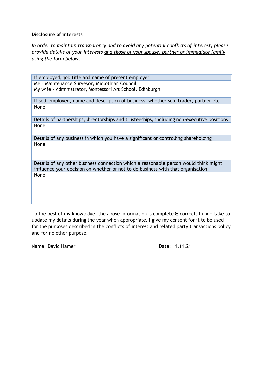*In order to maintain transparency and to avoid any potential conflicts of interest, please provide details of your interests and those of your spouse, partner or immediate family using the form below.*

If employed, job title and name of present employer Me – Maintenance Surveyor, Midlothian Council My wife – Administrator, Montessori Art School, Edinburgh

If self-employed, name and description of business, whether sole trader, partner etc None

Details of partnerships, directorships and trusteeships, including non-executive positions None

Details of any business in which you have a significant or controlling shareholding None

Details of any other business connection which a reasonable person would think might influence your decision on whether or not to do business with that organisation None

To the best of my knowledge, the above information is complete & correct. I undertake to update my details during the year when appropriate. I give my consent for it to be used for the purposes described in the conflicts of interest and related party transactions policy and for no other purpose.

Name: David Hamer Date: 11.11.21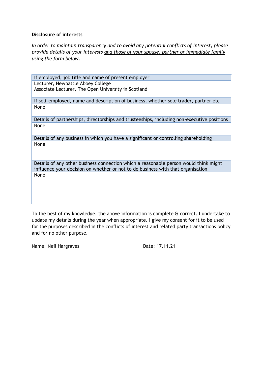*In order to maintain transparency and to avoid any potential conflicts of interest, please provide details of your interests and those of your spouse, partner or immediate family using the form below.*

If employed, job title and name of present employer Lecturer, Newbattle Abbey College Associate Lecturer, The Open University in Scotland

If self-employed, name and description of business, whether sole trader, partner etc None

Details of partnerships, directorships and trusteeships, including non-executive positions None

Details of any business in which you have a significant or controlling shareholding None

Details of any other business connection which a reasonable person would think might influence your decision on whether or not to do business with that organisation None

To the best of my knowledge, the above information is complete & correct. I undertake to update my details during the year when appropriate. I give my consent for it to be used for the purposes described in the conflicts of interest and related party transactions policy and for no other purpose.

Name: Neil Hargraves Date: 17.11.21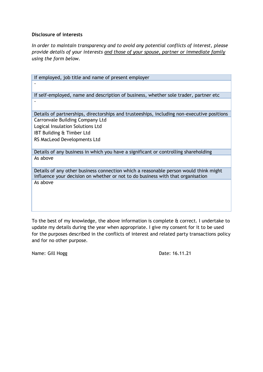*In order to maintain transparency and to avoid any potential conflicts of interest, please provide details of your interests and those of your spouse, partner or immediate family using the form below.*

| If employed, job title and name of present employer                                        |
|--------------------------------------------------------------------------------------------|
|                                                                                            |
|                                                                                            |
| If self-employed, name and description of business, whether sole trader, partner etc       |
|                                                                                            |
|                                                                                            |
| Details of partnerships, directorships and trusteeships, including non-executive positions |
| <b>Carronvale Building Company Ltd</b>                                                     |
| Logical Insulation Solutions Ltd                                                           |
| <b>IBT Building &amp; Timber Ltd</b>                                                       |
| RS MacLeod Developments Ltd                                                                |
|                                                                                            |
| Details of any business in which you have a significant or controlling shareholding        |
| As above                                                                                   |
|                                                                                            |
| Details of any other business connection which a reasonable person would think might       |
| influence your decision on whether or not to do business with that organisation            |
| As above                                                                                   |
|                                                                                            |

To the best of my knowledge, the above information is complete & correct. I undertake to update my details during the year when appropriate. I give my consent for it to be used for the purposes described in the conflicts of interest and related party transactions policy and for no other purpose.

Name: Gill Hogg Date: 16.11.21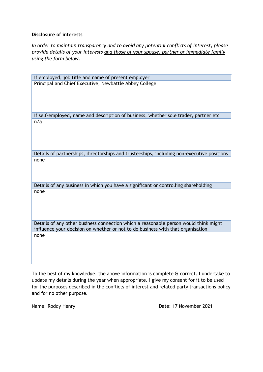*In order to maintain transparency and to avoid any potential conflicts of interest, please provide details of your interests and those of your spouse, partner or immediate family using the form below.*

| If employed, job title and name of present employer                                                                                                                     |
|-------------------------------------------------------------------------------------------------------------------------------------------------------------------------|
| Principal and Chief Executive, Newbattle Abbey College                                                                                                                  |
|                                                                                                                                                                         |
| If self-employed, name and description of business, whether sole trader, partner etc                                                                                    |
| n/a                                                                                                                                                                     |
| Details of partnerships, directorships and trusteeships, including non-executive positions                                                                              |
| none                                                                                                                                                                    |
| Details of any business in which you have a significant or controlling shareholding                                                                                     |
| none                                                                                                                                                                    |
| Details of any other business connection which a reasonable person would think might<br>influence your decision on whether or not to do business with that organisation |
| none                                                                                                                                                                    |

To the best of my knowledge, the above information is complete & correct. I undertake to update my details during the year when appropriate. I give my consent for it to be used for the purposes described in the conflicts of interest and related party transactions policy and for no other purpose.

Name: Roddy Henry **Name: Roddy Henry Rowland Communist Communist Communist Communist Communist Communist Communist Communist Communist Communist Communist Communist Communist Communist Communist Communist Communist Communi**